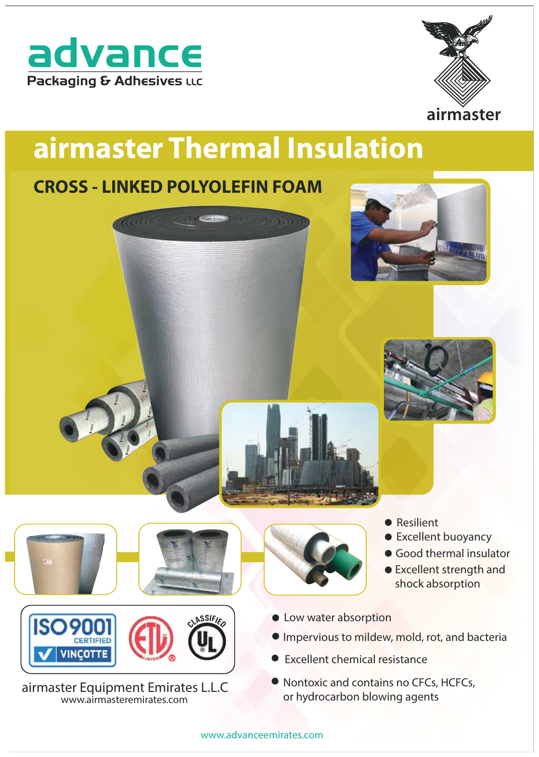



# **airmaster Thermal Insulation**

## **CROSS - LINKED POLYOLEFIN FOAM**

**Common Cher** 







- **Resilient**
- **Excellent buoyancy**
- **Good thermal insulator**
- Excellent strength and shock absorption

- **<sup>C</sup>LASSIFIE<sup>D</sup> VINCOTTE**
- www.airmasteremirates.com airmaster Equipment Emirates L.L.C
- **C** Low water absorption
- **Impervious to mildew, mold, rot, and bacteria**
- Excellent chemical resistance
- Nontoxic and contains no CFCs, HCFCs, or hydrocarbon blowing agents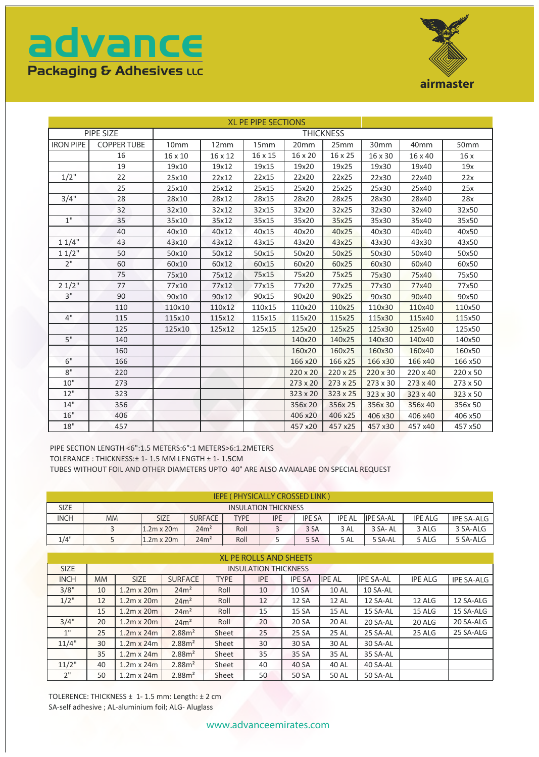# **advance Packaging & Adhesives LLC**



| <b>XL PE PIPE SECTIONS</b> |                    |                  |         |                  |          |          |          |                  |                  |  |
|----------------------------|--------------------|------------------|---------|------------------|----------|----------|----------|------------------|------------------|--|
| PIPE SIZE                  |                    | <b>THICKNESS</b> |         |                  |          |          |          |                  |                  |  |
| <b>IRON PIPE</b>           | <b>COPPER TUBE</b> | 10 <sub>mm</sub> | 12mm    | 15 <sub>mm</sub> | 20mm     | 25mm     | 30mm     | 40 <sub>mm</sub> | 50 <sub>mm</sub> |  |
|                            | 16                 | 16 x 10          | 16 x 12 | 16 x 15          | 16 x 20  | 16 x 25  | 16 x 30  | 16 x 40          | 16 x             |  |
|                            | 19                 | 19x10            | 19x12   | 19x15            | 19x20    | 19x25    | 19x30    | 19x40            | 19x              |  |
| 1/2"                       | 22                 | 25x10            | 22x12   | 22x15            | 22x20    | 22x25    | 22x30    | 22x40            | 22x              |  |
|                            | 25                 | 25x10            | 25x12   | 25x15            | 25x20    | 25x25    | 25x30    | 25x40            | 25x              |  |
| 3/4"                       | 28                 | 28x10            | 28x12   | 28x15            | 28x20    | 28x25    | 28x30    | 28x40            | 28x              |  |
|                            | 32                 | 32x10            | 32x12   | 32x15            | 32x20    | 32x25    | 32x30    | 32x40            | 32x50            |  |
| 1"                         | 35                 | 35x10            | 35x12   | 35x15            | 35x20    | 35x25    | 35x30    | 35x40            | 35x50            |  |
|                            | 40                 | 40x10            | 40x12   | 40x15            | 40x20    | 40x25    | 40x30    | 40x40            | 40x50            |  |
| 11/4"                      | 43                 | 43x10            | 43x12   | 43x15            | 43x20    | 43x25    | 43x30    | 43x30            | 43x50            |  |
| 11/2"                      | 50                 | 50x10            | 50x12   | 50x15            | 50x20    | 50x25    | 50x30    | 50x40            | 50x50            |  |
| 2"                         | 60                 | 60x10            | 60x12   | 60x15            | 60x20    | 60x25    | 60x30    | 60x40            | 60x50            |  |
|                            | 75                 | 75x10            | 75x12   | 75x15            | 75x20    | 75x25    | 75x30    | 75x40            | 75x50            |  |
| 21/2"                      | 77                 | 77x10            | 77x12   | 77x15            | 77x20    | 77x25    | 77x30    | 77x40            | 77x50            |  |
| 3"                         | 90                 | 90x10            | 90x12   | 90x15            | 90x20    | 90x25    | 90x30    | 90x40            | 90x50            |  |
|                            | 110                | 110×10           | 110x12  | 110x15           | 110x20   | 110x25   | 110x30   | 110x40           | 110x50           |  |
| 4"                         | 115                | 115x10           | 115x12  | 115x15           | 115x20   | 115x25   | 115x30   | 115x40           | 115x50           |  |
|                            | 125                | 125x10           | 125x12  | 125x15           | 125x20   | 125x25   | 125x30   | 125x40           | 125x50           |  |
| 5"                         | 140                |                  |         |                  | 140x20   | 140x25   | 140x30   | 140x40           | 140x50           |  |
|                            | 160                |                  |         |                  | 160x20   | 160x25   | 160x30   | 160x40           | 160x50           |  |
| 6"                         | 166                |                  |         |                  | 166 x20  | 166 x25  | 166 x30  | 166 x40          | 166 x50          |  |
| 8"                         | 220                |                  |         |                  | 220 x 20 | 220 x 25 | 220 x 30 | 220 x 40         | 220 x 50         |  |
| 10"                        | 273                |                  |         |                  | 273 x 20 | 273 x 25 | 273 x 30 | 273 x 40         | 273 x 50         |  |
| 12"                        | 323                |                  |         |                  | 323 x 20 | 323 x 25 | 323 x 30 | 323 x 40         | 323 x 50         |  |
| 14"                        | 356                |                  |         |                  | 356x 20  | 356x 25  | 356x 30  | 356x 40          | 356x 50          |  |
| 16"                        | 406                |                  |         |                  | 406 x20  | 406 x25  | 406 x30  | 406 x40          | 406 x50          |  |
| 18"                        | 457                |                  |         |                  | 457 x20  | 457 x25  | 457 x30  | 457 x40          | 457 x50          |  |

PIPE SECTION LENGTH <6":1.5 METERS:6":1 METERS>6:1.2METERS

TOLERANCE : THICKNESS:± 1- 1.5 MM LENGTH ± 1- 1.5CM

TUBES WITHOUT FOIL AND OTHER DIAMETERS UPTO 40° ARE ALSO AVAIALABE ON SPECIAL REQUEST

| <b>IEPE (PHYSICALLY CROSSED LINK)</b> |                             |                   |                  |             |            |               |               |                  |                |            |
|---------------------------------------|-----------------------------|-------------------|------------------|-------------|------------|---------------|---------------|------------------|----------------|------------|
| <b>SIZE</b>                           | <b>INSULATION THICKNESS</b> |                   |                  |             |            |               |               |                  |                |            |
| <b>INCH</b>                           | <b>MM</b>                   | SIZE              | <b>SURFACE</b>   | <b>TYPE</b> | <b>IPE</b> | <b>IPE SA</b> | <b>IPE AL</b> | <b>IPE SA-AL</b> | <b>IPE ALG</b> | IPE SA-ALG |
|                                       |                             | $1.2m \times 20m$ | 24m <sup>2</sup> | Roll        |            | 3 SA          | 3 AL          | 3 SA-AL          | 3 ALG          | 3 SA-ALG   |
| 1/4"                                  |                             | $1.2m \times 20m$ | 24m <sup>2</sup> | Roll        |            | 5 SA          | 5 AL          | 5 SA-AL          | 5 ALG          | 5 SA-ALG   |

| <b>XL PE ROLLS AND SHEETS</b> |                             |                   |                   |             |            |               |               |                  |                |                   |
|-------------------------------|-----------------------------|-------------------|-------------------|-------------|------------|---------------|---------------|------------------|----------------|-------------------|
| <b>SIZE</b>                   | <b>INSULATION THICKNESS</b> |                   |                   |             |            |               |               |                  |                |                   |
| <b>INCH</b>                   | <b>MM</b>                   | SIZE              | <b>SURFACE</b>    | <b>TYPE</b> | <b>IPE</b> | <b>IPE SA</b> | <b>IPE AL</b> | <b>IPE SA-AL</b> | <b>IPE ALG</b> | <b>IPE SA-ALG</b> |
| 3/8"                          | 10                          | $1.2m \times 20m$ | 24m <sup>2</sup>  | Roll        | 10         | 10 SA         | <b>10 AL</b>  | 10 SA-AL         |                |                   |
| $1/2$ "                       | 12                          | $1.2m \times 20m$ | 24m <sup>2</sup>  | Roll        | 12         | 12 SA         | 12 AL         | 12 SA-AL         | 12 ALG         | 12 SA-ALG         |
|                               | 15                          | $1.2m \times 20m$ | 24m <sup>2</sup>  | Roll        | 15         | 15 SA         | <b>15 AL</b>  | 15 SA-AL         | 15 ALG         | 15 SA-ALG         |
| 3/4"                          | 20                          | $1.2m \times 20m$ | 24m <sup>2</sup>  | Roll        | 20         | 20 SA         | <b>20 AL</b>  | 20 SA-AL         | 20 ALG         | 20 SA-ALG         |
| 1"                            | 25                          | $1.2m \times 24m$ | 2.88 <sup>2</sup> | Sheet       | 25         | 25 SA         | <b>25 AL</b>  | 25 SA-AL         | 25 ALG         | 25 SA-ALG         |
| 11/4"                         | 30                          | $1.2m \times 24m$ | 2.88 <sup>2</sup> | Sheet       | 30         | 30 SA         | 30 AL         | 30 SA-AL         |                |                   |
|                               | 35                          | $1.2m \times 24m$ | 2.88 <sup>2</sup> | Sheet       | 35         | 35 SA         | 35 AL         | 35 SA-AL         |                |                   |
| 11/2"                         | 40                          | $1.2m \times 24m$ | 2.88 <sup>2</sup> | Sheet       | 40         | 40 SA         | 40 AL         | 40 SA-AL         |                |                   |
| 2"                            | 50                          | $1.2m \times 24m$ | 2.88 <sup>2</sup> | Sheet       | 50         | 50 SA         | 50 AL         | 50 SA-AL         |                |                   |

TOLERENCE: THICKNESS ± 1- 1.5 mm: Length: ± 2 cm SA-self adhesive ; AL-aluminium foil; ALG- Aluglass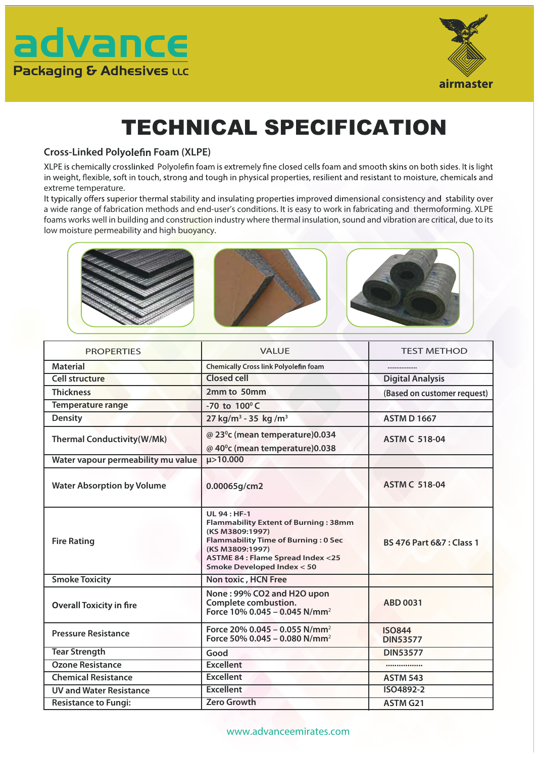



# TECHNICAL SPECIFICATION

## **Cross-Linked Poly Foam (XLPE)**

XLPE is chemically crosslinked Polyolefin foam is extremely fine closed cells foam and smooth skins on both sides. It is light in weight, flexible, soft in touch, strong and tough in physical properties, resilient and resistant to moisture, chemicals and extreme temperature.

It typically offers superior thermal stability and insulating properties improved dimensional consistency and stability over a wide range of fabrication methods and end-user's conditions. It is easy to work in fabricating and thermoforming. XLPE foams works well in building and construction industry where thermal insulation,sound and vibration are critical, due to its low moisture permeability and high buoyancy.



| <b>PROPERTIES</b>                  | <b>VALUE</b>                                                                                                                                                                                                                                  | <b>TEST METHOD</b>                  |  |  |
|------------------------------------|-----------------------------------------------------------------------------------------------------------------------------------------------------------------------------------------------------------------------------------------------|-------------------------------------|--|--|
| <b>Material</b>                    | <b>Chemically Cross link Polyolefin foam</b>                                                                                                                                                                                                  |                                     |  |  |
| <b>Cell structure</b>              | <b>Closed cell</b>                                                                                                                                                                                                                            | <b>Digital Analysis</b>             |  |  |
| <b>Thickness</b>                   | 2mm to 50mm                                                                                                                                                                                                                                   | (Based on customer request)         |  |  |
| Temperature range                  | -70 to $100^{\circ}$ C                                                                                                                                                                                                                        |                                     |  |  |
| <b>Density</b>                     | 27 kg/m <sup>3</sup> - 35 kg/m <sup>3</sup>                                                                                                                                                                                                   | <b>ASTM D 1667</b>                  |  |  |
| <b>Thermal Conductivity(W/Mk)</b>  | @ 23°c (mean temperature)0.034<br>@ 40°c (mean temperature)0.038                                                                                                                                                                              | <b>ASTM C 518-04</b>                |  |  |
| Water vapour permeability mu value | $\mu > 10.000$                                                                                                                                                                                                                                |                                     |  |  |
| <b>Water Absorption by Volume</b>  | 0.00065g/cm2                                                                                                                                                                                                                                  | <b>ASTM C 518-04</b>                |  |  |
| <b>Fire Rating</b>                 | <b>UL 94 : HF-1</b><br><b>Flammability Extent of Burning: 38mm</b><br>(KS M3809:1997)<br><b>Flammability Time of Burning: 0 Sec</b><br>(KS M3809:1997)<br><b>ASTME 84 : Flame Spread Index &lt;25</b><br><b>Smoke Developed Index &lt; 50</b> | <b>BS 476 Part 6&amp;7: Class 1</b> |  |  |
| <b>Smoke Toxicity</b>              | Non toxic, HCN Free                                                                                                                                                                                                                           |                                     |  |  |
| <b>Overall Toxicity in fire</b>    | None: 99% CO2 and H2O upon<br>Complete combustion.<br>Force 10% 0.045 - 0.045 N/mm <sup>2</sup>                                                                                                                                               | <b>ABD 0031</b>                     |  |  |
| <b>Pressure Resistance</b>         | Force 20% 0.045 - 0.055 N/mm <sup>2</sup><br>Force 50% 0.045 - 0.080 N/mm <sup>2</sup>                                                                                                                                                        | <b>ISO844</b><br><b>DIN53577</b>    |  |  |
| <b>Tear Strength</b>               | Good                                                                                                                                                                                                                                          | <b>DIN53577</b>                     |  |  |
| <b>Ozone Resistance</b>            | <b>Excellent</b>                                                                                                                                                                                                                              |                                     |  |  |
| <b>Chemical Resistance</b>         | <b>Excellent</b>                                                                                                                                                                                                                              | <b>ASTM 543</b>                     |  |  |
| <b>UV and Water Resistance</b>     | <b>Excellent</b>                                                                                                                                                                                                                              | ISO4892-2                           |  |  |
| <b>Resistance to Fungi:</b>        | <b>Zero Growth</b>                                                                                                                                                                                                                            | <b>ASTM G21</b>                     |  |  |

## www.advanceemirates.com